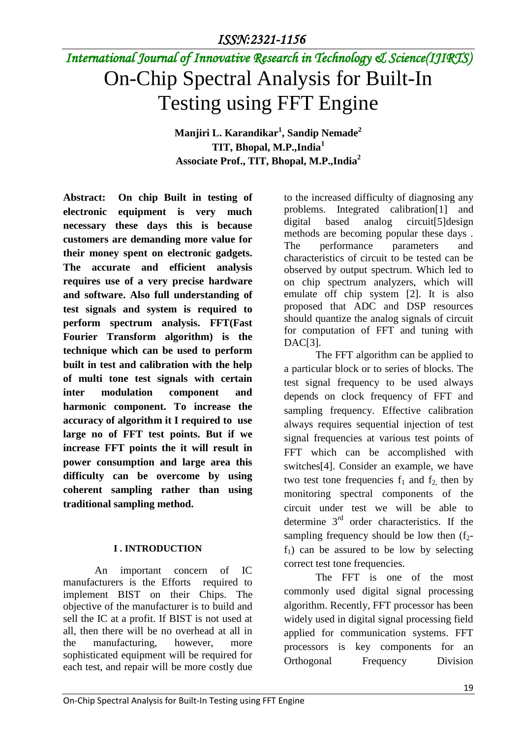# *International Journal of Innovative Research in Technology & Science(IJIRTS)* On-Chip Spectral Analysis for Built-In Testing using FFT Engine

**Manjiri L. Karandikar<sup>1</sup> , Sandip Nemade<sup>2</sup> TIT, Bhopal, M.P.,India<sup>1</sup> Associate Prof., TIT, Bhopal, M.P.,India<sup>2</sup>**

**Abstract: On chip Built in testing of electronic equipment is very much necessary these days this is because customers are demanding more value for their money spent on electronic gadgets. The accurate and efficient analysis requires use of a very precise hardware and software. Also full understanding of test signals and system is required to perform spectrum analysis. FFT(Fast Fourier Transform algorithm) is the technique which can be used to perform built in test and calibration with the help of multi tone test signals with certain inter modulation component and harmonic component. To increase the accuracy of algorithm it I required to use large no of FFT test points. But if we increase FFT points the it will result in power consumption and large area this difficulty can be overcome by using coherent sampling rather than using traditional sampling method.**

## **I . INTRODUCTION**

An important concern of IC manufacturers is the Efforts required to implement BIST on their Chips. The objective of the manufacturer is to build and sell the IC at a profit. If BIST is not used at all, then there will be no overhead at all in the manufacturing, however, more sophisticated equipment will be required for each test, and repair will be more costly due to the increased difficulty of diagnosing any problems. Integrated calibration[1] and digital based analog circuit[5]design methods are becoming popular these days . The performance parameters and characteristics of circuit to be tested can be observed by output spectrum. Which led to on chip spectrum analyzers, which will emulate off chip system [2]. It is also proposed that ADC and DSP resources should quantize the analog signals of circuit for computation of FFT and tuning with DAC[3].

The FFT algorithm can be applied to a particular block or to series of blocks. The test signal frequency to be used always depends on clock frequency of FFT and sampling frequency. Effective calibration always requires sequential injection of test signal frequencies at various test points of FFT which can be accomplished with switches[4]. Consider an example, we have two test tone frequencies  $f_1$  and  $f_2$  then by monitoring spectral components of the circuit under test we will be able to determine 3rd order characteristics. If the sampling frequency should be low then  $(f<sub>2</sub>$  $f_1$ ) can be assured to be low by selecting correct test tone frequencies.

The FFT is one of the most commonly used digital signal processing algorithm. Recently, FFT processor has been widely used in digital signal processing field applied for communication systems. FFT processors is key components for an Orthogonal Frequency Division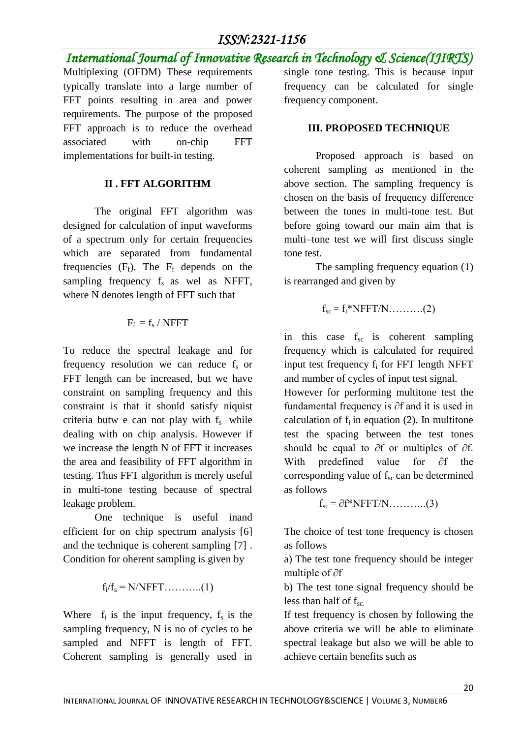# *ISSN:2321-1156*

*International Journal of Innovative Research in Technology & Science(IJIRTS)* Multiplexing (OFDM) These requirements typically translate into a large number of FFT points resulting in area and power requirements. The purpose of the proposed FFT approach is to reduce the overhead associated with on-chip FFT implementations for built-in testing. frequency component.

#### **II . FFT ALGORITHM**

The original FFT algorithm was designed for calculation of input waveforms of a spectrum only for certain frequencies which are separated from fundamental frequencies  $(F_f)$ . The  $F_f$  depends on the sampling frequency  $f_s$  as wel as NFFT, where N denotes length of FFT such that

#### $F_f = f_s / NFFT$

To reduce the spectral leakage and for frequency resolution we can reduce  $f_s$  or FFT length can be increased, but we have constraint on sampling frequency and this constraint is that it should satisfy niquist criteria butw e can not play with  $f_s$  while dealing with on chip analysis. However if we increase the length N of FFT it increases the area and feasibility of FFT algorithm in testing. Thus FFT algorithm is merely useful in multi-tone testing because of spectral leakage problem.

One technique is useful inand efficient for on chip spectrum analysis [6] and the technique is coherent sampling [7] . Condition for oherent sampling is given by

fi/f<sup>s</sup> = N/NFFT………..(1)

Where  $f_i$  is the input frequency,  $f_s$  is the sampling frequency, N is no of cycles to be sampled and NFFT is length of FFT. Coherent sampling is generally used in single tone testing. This is because input frequency can be calculated for single

## **III. PROPOSED TECHNIQUE**

Proposed approach is based on coherent sampling as mentioned in the above section. The sampling frequency is chosen on the basis of frequency difference between the tones in multi-tone test. But before going toward our main aim that is multi–tone test we will first discuss single tone test.

The sampling frequency equation (1) is rearranged and given by

$$
f_{sc} = f_i * NFFT/N \dots \dots \dots (2)
$$

in this case f<sub>sc</sub> is coherent sampling frequency which is calculated for required input test frequency  $f_i$  for FFT length NFFT and number of cycles of input test signal.

However for performing multitone test the fundamental frequency is ∂f and it is used in calculation of  $f_i$  in equation (2). In multitone test the spacing between the test tones should be equal to ∂f or multiples of ∂f. With predefined value for ∂f the corresponding value of  $f_{\rm sc}$  can be determined as follows

 $f_{sc} = \partial f^*NFFT/N$ ............(3)

The choice of test tone frequency is chosen as follows

a) The test tone frequency should be integer multiple of ∂f

b) The test tone signal frequency should be less than half of  $f_{\rm sc.}$ 

If test frequency is chosen by following the above criteria we will be able to eliminate spectral leakage but also we will be able to achieve certain benefits such as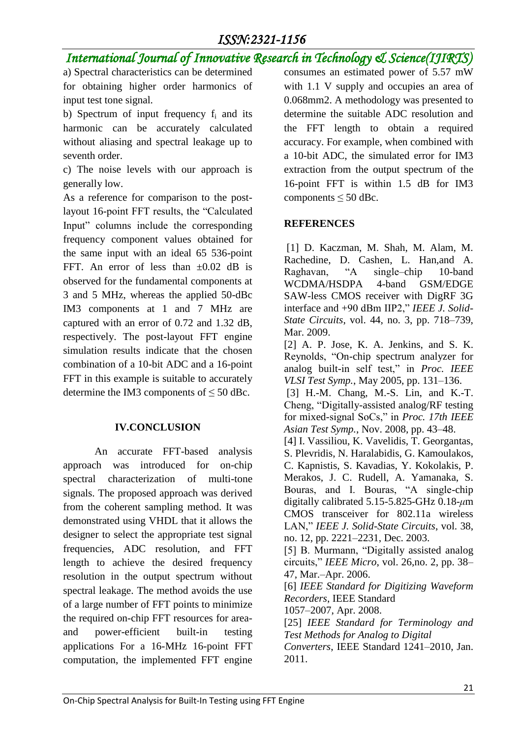# *International Journal of Innovative Research in Technology & Science(IJIRTS)*

a) Spectral characteristics can be determined for obtaining higher order harmonics of input test tone signal.

b) Spectrum of input frequency  $f_i$  and its harmonic can be accurately calculated without aliasing and spectral leakage up to seventh order.

c) The noise levels with our approach is generally low.

As a reference for comparison to the postlayout 16-point FFT results, the "Calculated Input" columns include the corresponding frequency component values obtained for the same input with an ideal 65 536-point FFT. An error of less than ±0*.*02 dB is observed for the fundamental components at 3 and 5 MHz, whereas the applied 50-dBc IM3 components at 1 and 7 MHz are captured with an error of 0.72 and 1.32 dB, respectively. The post-layout FFT engine simulation results indicate that the chosen combination of a 10-bit ADC and a 16-point FFT in this example is suitable to accurately determine the IM3 components of  $\leq 50$  dBc.

## **IV.CONCLUSION**

An accurate FFT-based analysis approach was introduced for on-chip spectral characterization of multi-tone signals. The proposed approach was derived from the coherent sampling method. It was demonstrated using VHDL that it allows the designer to select the appropriate test signal frequencies, ADC resolution, and FFT length to achieve the desired frequency resolution in the output spectrum without spectral leakage. The method avoids the use of a large number of FFT points to minimize the required on-chip FFT resources for areaand power-efficient built-in testing applications For a 16-MHz 16-point FFT computation, the implemented FFT engine

consumes an estimated power of 5.57 mW with 1.1 V supply and occupies an area of 0.068mm2. A methodology was presented to determine the suitable ADC resolution and the FFT length to obtain a required accuracy. For example, when combined with a 10-bit ADC, the simulated error for IM3 extraction from the output spectrum of the 16-point FFT is within 1.5 dB for IM3 components  $\leq 50$  dBc.

## **REFERENCES**

[1] D. Kaczman, M. Shah, M. Alam, M. Rachedine, D. Cashen, L. Han,and A. Raghavan, "A single–chip 10-band WCDMA/HSDPA 4-band GSM/EDGE SAW-less CMOS receiver with DigRF 3G interface and +90 dBm IIP2," *IEEE J. Solid-State Circuits*, vol. 44, no. 3, pp. 718–739, Mar. 2009.

[2] A. P. Jose, K. A. Jenkins, and S. K. Reynolds, "On-chip spectrum analyzer for analog built-in self test," in *Proc. IEEE VLSI Test Symp.*, May 2005, pp. 131–136.

[3] H.-M. Chang, M.-S. Lin, and K.-T. Cheng, "Digitally-assisted analog/RF testing for mixed-signal SoCs," in *Proc. 17th IEEE Asian Test Symp.*, Nov. 2008, pp. 43–48.

[4] I. Vassiliou, K. Vavelidis, T. Georgantas, S. Plevridis, N. Haralabidis, G. Kamoulakos, C. Kapnistis, S. Kavadias, Y. Kokolakis, P. Merakos, J. C. Rudell, A. Yamanaka, S. Bouras, and I. Bouras, "A single-chip digitally calibrated 5.15-5.825-GHz 0.18-*μ*m CMOS transceiver for 802.11a wireless LAN," *IEEE J. Solid-State Circuits*, vol. 38, no. 12, pp. 2221–2231, Dec. 2003.

[5] B. Murmann, "Digitally assisted analog circuits," *IEEE Micro*, vol. 26,no. 2, pp. 38– 47, Mar.–Apr. 2006.

[6] *IEEE Standard for Digitizing Waveform Recorders*, IEEE Standard

1057–2007, Apr. 2008.

[25] *IEEE Standard for Terminology and Test Methods for Analog to Digital*

*Converters*, IEEE Standard 1241–2010, Jan. 2011.